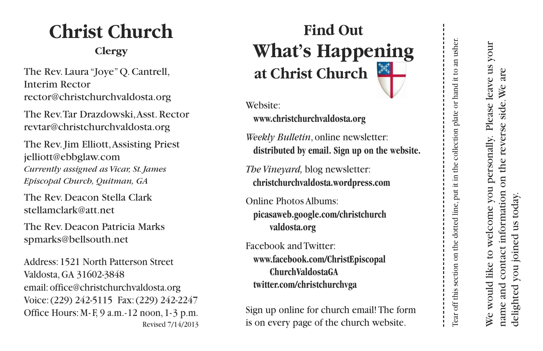## **Christ Church**

## **Clergy**

The Rev. Laura "Joye" Q. Cantrell, Interim Rector rector@christchurchvaldosta.org

The Rev.Tar Drazdowski, Asst. Rector revtar@christchurchvaldosta.org

The Rev. Jim Elliott, Assisting Priest jelliott@ebbglaw.com Currently assigned as Vicar, St. James *Episcopal Church, Quitman, GA* 

The Rev. Deacon Stella Clark stellamclark@att.net

The Rev. Deacon Patricia Marks spmarks@bellsouth.net

Address: 1521 North Patterson Street Valdosta, GA 31602-3848 email: office@christchurchvaldosta.org Voice: (229) 242-5115 Fax: (229) 242-2247 Office Hours: M-F, 9 a.m.-12 noon,  $1-3$  p.m. Revised 7/14/2013

## **Find Out What's Happening** at Christ Church

Website:

**www.christchurchvaldosta.org** 

Weekly Bulletin, online newsletter: distributed by email. Sign up on the website.

*The Vineyard,* blog newsletter: christchurchvaldosta.wordpress.com

Online Photos Albums: picasaweb.google.com/christchurch **v al d o s t a . o r g**

Facebook and Twitter: **www.facebook.com/ChristEpiscopal ChurchValdostaGA twitter.com/christchurchvga** 

Sign up online for church email! The form is on every page of the church website.

We would like to welcome you personally. Please leave us your We would like to welcome you personally. Please leave us your name and contact information on the reverse side. We are name and contact information on the reverse side.We are delighted you joined us today.delighted you joined us today.

Tear off this section on the dotted line,put it in the collection plate or hand it to an usher.

Tear off this section on the dotted line, put it in the collection plate or hand it to an usher.